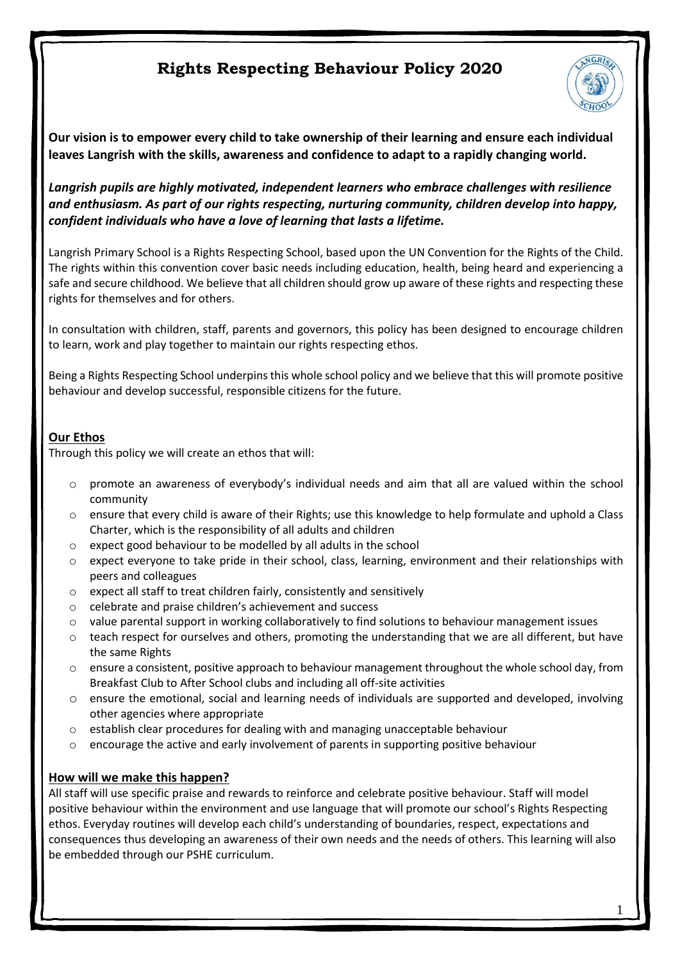

**Our vision is to empower every child to take ownership of their learning and ensure each individual leaves Langrish with the skills, awareness and confidence to adapt to a rapidly changing world.**

*Langrish pupils are highly motivated, independent learners who embrace challenges with resilience and enthusiasm. As part of our rights respecting, nurturing community, children develop into happy, confident individuals who have a love of learning that lasts a lifetime.*

Langrish Primary School is a Rights Respecting School, based upon the UN Convention for the Rights of the Child. The rights within this convention cover basic needs including education, health, being heard and experiencing a safe and secure childhood. We believe that all children should grow up aware of these rights and respecting these rights for themselves and for others.

In consultation with children, staff, parents and governors, this policy has been designed to encourage children to learn, work and play together to maintain our rights respecting ethos.

Being a Rights Respecting School underpins this whole school policy and we believe that this will promote positive behaviour and develop successful, responsible citizens for the future.

## **Our Ethos**

Through this policy we will create an ethos that will:

- o promote an awareness of everybody's individual needs and aim that all are valued within the school community
- o ensure that every child is aware of their Rights; use this knowledge to help formulate and uphold a Class Charter, which is the responsibility of all adults and children
- o expect good behaviour to be modelled by all adults in the school
- o expect everyone to take pride in their school, class, learning, environment and their relationships with peers and colleagues
- o expect all staff to treat children fairly, consistently and sensitively
- o celebrate and praise children's achievement and success
- o value parental support in working collaboratively to find solutions to behaviour management issues
- o teach respect for ourselves and others, promoting the understanding that we are all different, but have the same Rights
- o ensure a consistent, positive approach to behaviour management throughout the whole school day, from Breakfast Club to After School clubs and including all off-site activities
- o ensure the emotional, social and learning needs of individuals are supported and developed, involving other agencies where appropriate
- o establish clear procedures for dealing with and managing unacceptable behaviour
- o encourage the active and early involvement of parents in supporting positive behaviour

### **How will we make this happen?**

All staff will use specific praise and rewards to reinforce and celebrate positive behaviour. Staff will model positive behaviour within the environment and use language that will promote our school's Rights Respecting ethos. Everyday routines will develop each child's understanding of boundaries, respect, expectations and consequences thus developing an awareness of their own needs and the needs of others. This learning will also be embedded through our PSHE curriculum.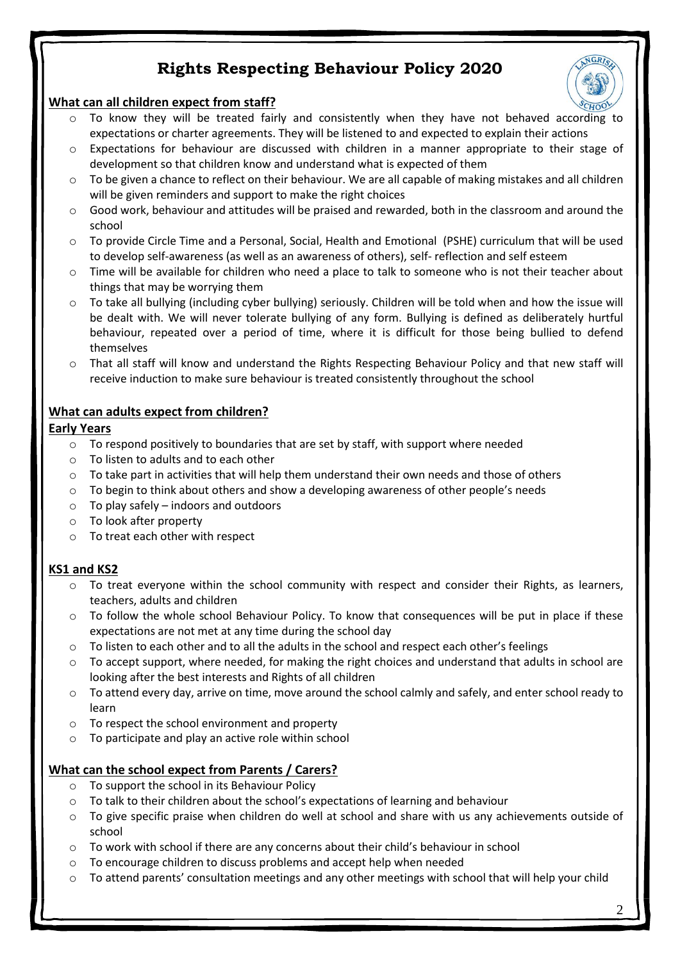

#### **What can all children expect from staff?**

- o To know they will be treated fairly and consistently when they have not behaved according to expectations or charter agreements. They will be listened to and expected to explain their actions
- $\circ$  Expectations for behaviour are discussed with children in a manner appropriate to their stage of development so that children know and understand what is expected of them
- $\circ$  To be given a chance to reflect on their behaviour. We are all capable of making mistakes and all children will be given reminders and support to make the right choices
- $\circ$  Good work, behaviour and attitudes will be praised and rewarded, both in the classroom and around the school
- o To provide Circle Time and a Personal, Social, Health and Emotional (PSHE) curriculum that will be used to develop self-awareness (as well as an awareness of others), self- reflection and self esteem
- o Time will be available for children who need a place to talk to someone who is not their teacher about things that may be worrying them
- o To take all bullying (including cyber bullying) seriously. Children will be told when and how the issue will be dealt with. We will never tolerate bullying of any form. Bullying is defined as deliberately hurtful behaviour, repeated over a period of time, where it is difficult for those being bullied to defend themselves
- o That all staff will know and understand the Rights Respecting Behaviour Policy and that new staff will receive induction to make sure behaviour is treated consistently throughout the school

### **What can adults expect from children?**

#### **Early Years**

- $\circ$  To respond positively to boundaries that are set by staff, with support where needed
- o To listen to adults and to each other
- $\circ$  To take part in activities that will help them understand their own needs and those of others
- $\circ$  To begin to think about others and show a developing awareness of other people's needs
- $\circ$  To play safely indoors and outdoors
- o To look after property
- o To treat each other with respect

# **KS1 and KS2**

- $\circ$  To treat everyone within the school community with respect and consider their Rights, as learners, teachers, adults and children
- $\circ$  To follow the whole school Behaviour Policy. To know that consequences will be put in place if these expectations are not met at any time during the school day
- $\circ$  To listen to each other and to all the adults in the school and respect each other's feelings
- $\circ$  To accept support, where needed, for making the right choices and understand that adults in school are looking after the best interests and Rights of all children
- o To attend every day, arrive on time, move around the school calmly and safely, and enter school ready to learn
- o To respect the school environment and property
- o To participate and play an active role within school

# **What can the school expect from Parents / Carers?**

- o To support the school in its Behaviour Policy
- o To talk to their children about the school's expectations of learning and behaviour
- $\circ$  To give specific praise when children do well at school and share with us any achievements outside of school
- o To work with school if there are any concerns about their child's behaviour in school
- o To encourage children to discuss problems and accept help when needed
- $\circ$  To attend parents' consultation meetings and any other meetings with school that will help your child

2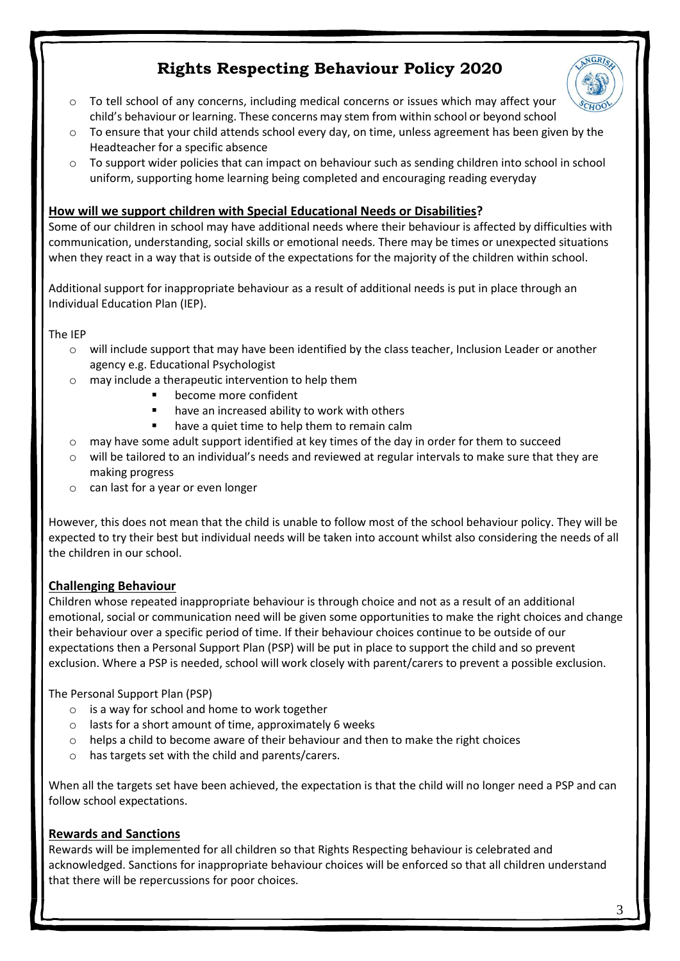

- $\circ$  To tell school of any concerns, including medical concerns or issues which may affect your child's behaviour or learning. These concerns may stem from within school or beyond school
- $\circ$  To ensure that your child attends school every day, on time, unless agreement has been given by the Headteacher for a specific absence
- o To support wider policies that can impact on behaviour such as sending children into school in school uniform, supporting home learning being completed and encouraging reading everyday

## **How will we support children with Special Educational Needs or Disabilities?**

Some of our children in school may have additional needs where their behaviour is affected by difficulties with communication, understanding, social skills or emotional needs. There may be times or unexpected situations when they react in a way that is outside of the expectations for the majority of the children within school.

Additional support for inappropriate behaviour as a result of additional needs is put in place through an Individual Education Plan (IEP).

The IEP

- o will include support that may have been identified by the class teacher, Inclusion Leader or another agency e.g. Educational Psychologist
- o may include a therapeutic intervention to help them
	- become more confident
		- have an increased ability to work with others
		- have a quiet time to help them to remain calm
- $\circ$  may have some adult support identified at key times of the day in order for them to succeed
- $\circ$  will be tailored to an individual's needs and reviewed at regular intervals to make sure that they are making progress
- o can last for a year or even longer

However, this does not mean that the child is unable to follow most of the school behaviour policy. They will be expected to try their best but individual needs will be taken into account whilst also considering the needs of all the children in our school.

# **Challenging Behaviour**

Children whose repeated inappropriate behaviour is through choice and not as a result of an additional emotional, social or communication need will be given some opportunities to make the right choices and change their behaviour over a specific period of time. If their behaviour choices continue to be outside of our expectations then a Personal Support Plan (PSP) will be put in place to support the child and so prevent exclusion. Where a PSP is needed, school will work closely with parent/carers to prevent a possible exclusion.

The Personal Support Plan (PSP)

- $\circ$  is a way for school and home to work together
- o lasts for a short amount of time, approximately 6 weeks
- $\circ$  helps a child to become aware of their behaviour and then to make the right choices
- has targets set with the child and parents/carers.

When all the targets set have been achieved, the expectation is that the child will no longer need a PSP and can follow school expectations.

### **Rewards and Sanctions**

Rewards will be implemented for all children so that Rights Respecting behaviour is celebrated and acknowledged. Sanctions for inappropriate behaviour choices will be enforced so that all children understand that there will be repercussions for poor choices.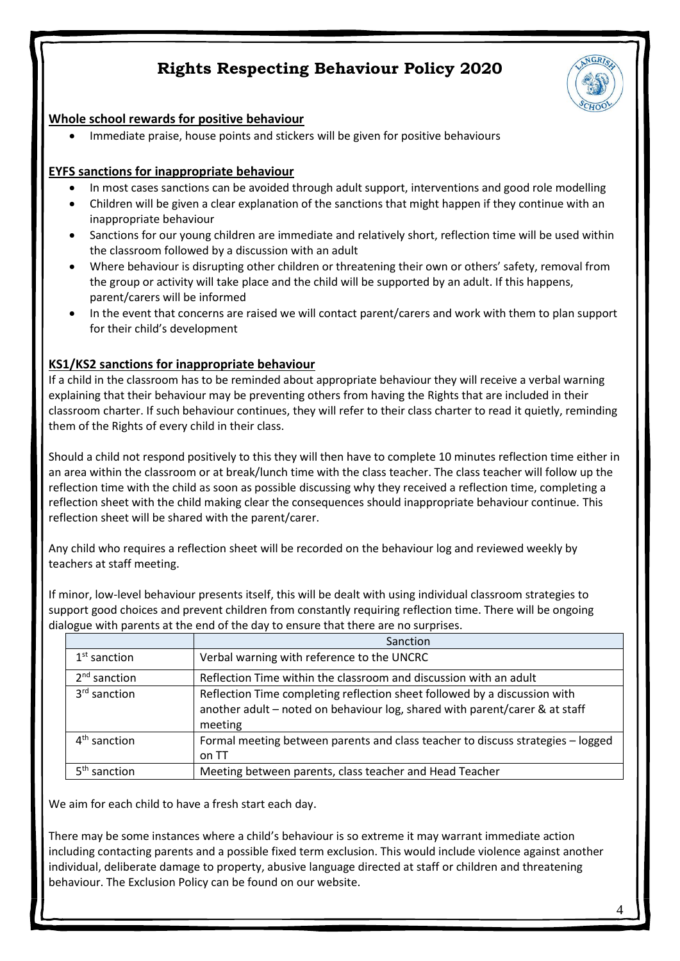

### **Whole school rewards for positive behaviour**

Immediate praise, house points and stickers will be given for positive behaviours

### **EYFS sanctions for inappropriate behaviour**

- In most cases sanctions can be avoided through adult support, interventions and good role modelling
- Children will be given a clear explanation of the sanctions that might happen if they continue with an inappropriate behaviour
- Sanctions for our young children are immediate and relatively short, reflection time will be used within the classroom followed by a discussion with an adult
- Where behaviour is disrupting other children or threatening their own or others' safety, removal from the group or activity will take place and the child will be supported by an adult. If this happens, parent/carers will be informed
- In the event that concerns are raised we will contact parent/carers and work with them to plan support for their child's development

# **KS1/KS2 sanctions for inappropriate behaviour**

If a child in the classroom has to be reminded about appropriate behaviour they will receive a verbal warning explaining that their behaviour may be preventing others from having the Rights that are included in their classroom charter. If such behaviour continues, they will refer to their class charter to read it quietly, reminding them of the Rights of every child in their class.

Should a child not respond positively to this they will then have to complete 10 minutes reflection time either in an area within the classroom or at break/lunch time with the class teacher. The class teacher will follow up the reflection time with the child as soon as possible discussing why they received a reflection time, completing a reflection sheet with the child making clear the consequences should inappropriate behaviour continue. This reflection sheet will be shared with the parent/carer.

Any child who requires a reflection sheet will be recorded on the behaviour log and reviewed weekly by teachers at staff meeting.

If minor, low-level behaviour presents itself, this will be dealt with using individual classroom strategies to support good choices and prevent children from constantly requiring reflection time. There will be ongoing dialogue with parents at the end of the day to ensure that there are no surprises.

|                          | Sanction                                                                                                                                                            |
|--------------------------|---------------------------------------------------------------------------------------------------------------------------------------------------------------------|
| $1st$ sanction           | Verbal warning with reference to the UNCRC                                                                                                                          |
| $2nd$ sanction           | Reflection Time within the classroom and discussion with an adult                                                                                                   |
| 3 <sup>rd</sup> sanction | Reflection Time completing reflection sheet followed by a discussion with<br>another adult - noted on behaviour log, shared with parent/carer & at staff<br>meeting |
| $4th$ sanction           | Formal meeting between parents and class teacher to discuss strategies - logged<br>on TT                                                                            |
| 5 <sup>th</sup> sanction | Meeting between parents, class teacher and Head Teacher                                                                                                             |

We aim for each child to have a fresh start each day.

There may be some instances where a child's behaviour is so extreme it may warrant immediate action including contacting parents and a possible fixed term exclusion. This would include violence against another individual, deliberate damage to property, abusive language directed at staff or children and threatening behaviour. The Exclusion Policy can be found on our website.

4